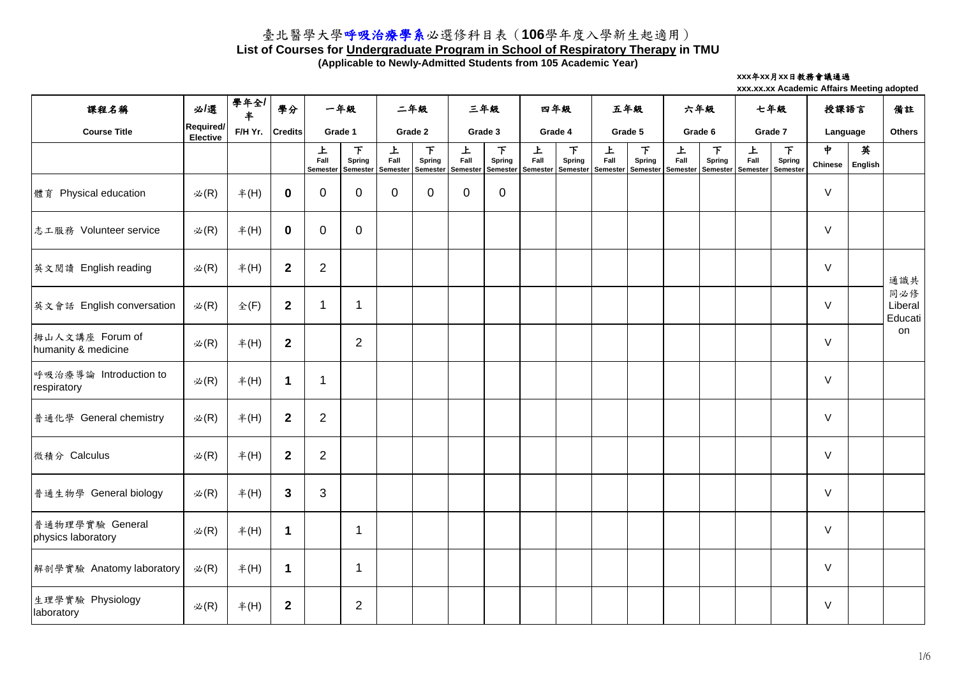### **List of Courses for Undergraduate Program in School of Respiratory Therapy in TMU**

**(Applicable to Newly-Admitted Students from 105 Academic Year)**

#### **xxx**年**xx**月**xx**日教務會議通過

| 課程名稱                                   | 必/選                                 | 學年全/<br>半       | 學分               |                              | 一年級                                        | 二年級                   |                                | 三年級                          |                                       | 四年級       |                    | 五年級                                                                                                  |                    | 六年級       |                    | 七年級       |                         | 授課語言                            |              | 備註                        |
|----------------------------------------|-------------------------------------|-----------------|------------------|------------------------------|--------------------------------------------|-----------------------|--------------------------------|------------------------------|---------------------------------------|-----------|--------------------|------------------------------------------------------------------------------------------------------|--------------------|-----------|--------------------|-----------|-------------------------|---------------------------------|--------------|---------------------------|
| <b>Course Title</b>                    | <b>Required/</b><br><b>Elective</b> | F/H Yr.         | <b>Credits</b>   |                              | Grade 1                                    |                       | Grade 2                        |                              | Grade 3                               |           | Grade 4            |                                                                                                      | Grade 5            | Grade 6   |                    | Grade 7   |                         | Language                        |              | <b>Others</b>             |
|                                        |                                     |                 |                  | 上<br>Fall<br><b>Semester</b> | $\top$<br><b>Spring</b><br><b>Semester</b> | 上<br>Fall<br>Semester | 下<br><b>Spring</b><br>Semester | 上<br>Fall<br><b>Semester</b> | F<br><b>Spring</b><br><b>Semester</b> | 上<br>Fall | 下<br><b>Spring</b> | 上<br>Fall<br>  Semester   Semester   Semester   Semester   Semester   Semester   Semester   Semester | 下<br><b>Spring</b> | 上<br>Fall | 下<br><b>Spring</b> | 上<br>Fall | $\top$<br><b>Spring</b> | $\frac{1}{2}$<br><b>Chinese</b> | 英<br>English |                           |
| 體育 Physical education                  | 必 $(R)$                             | #(H)            | $\bf{0}$         | $\mathbf 0$                  | $\overline{0}$                             | $\overline{0}$        | $\overline{0}$                 | $\overline{0}$               | $\overline{0}$                        |           |                    |                                                                                                      |                    |           |                    |           |                         | $\vee$                          |              |                           |
| 志工服務 Volunteer service                 | $\mathcal{L}(R)$                    | #(H)            | $\mathbf 0$      | $\overline{0}$               | $\overline{0}$                             |                       |                                |                              |                                       |           |                    |                                                                                                      |                    |           |                    |           |                         | $\vee$                          |              |                           |
| 英文閲讀 English reading                   | 必 $(R)$                             | #(H)            | $\boldsymbol{2}$ | $\overline{2}$               |                                            |                       |                                |                              |                                       |           |                    |                                                                                                      |                    |           |                    |           |                         | $\vee$                          |              | 通識共                       |
| 英文會話 English conversation              | $\mathcal{L}(R)$                    | $\hat{\Phi}(F)$ | $\boldsymbol{2}$ | $\mathbf 1$                  |                                            |                       |                                |                              |                                       |           |                    |                                                                                                      |                    |           |                    |           |                         | $\vee$                          |              | 同必修<br>Liberal<br>Educati |
| 拇山人文講座 Forum of<br>humanity & medicine | 必 $(R)$                             | #(H)            | $\boldsymbol{2}$ |                              | $\overline{2}$                             |                       |                                |                              |                                       |           |                    |                                                                                                      |                    |           |                    |           |                         | $\vee$                          |              | on                        |
| 呼吸治療導論 Introduction to<br>respiratory  | 必 $(R)$                             | #(H)            | 1                | 1                            |                                            |                       |                                |                              |                                       |           |                    |                                                                                                      |                    |           |                    |           |                         | $\vee$                          |              |                           |
| 普通化學 General chemistry                 | 必 $(R)$                             | #(H)            | $\mathbf{2}$     | $\overline{2}$               |                                            |                       |                                |                              |                                       |           |                    |                                                                                                      |                    |           |                    |           |                         | $\vee$                          |              |                           |
| 微積分 Calculus                           | 必 $(R)$                             | #(H)            | $\boldsymbol{2}$ | $\overline{2}$               |                                            |                       |                                |                              |                                       |           |                    |                                                                                                      |                    |           |                    |           |                         | $\vee$                          |              |                           |
| 普通生物學 General biology                  | 必 $(R)$                             | $#$ (H)         | $\mathbf{3}$     | 3                            |                                            |                       |                                |                              |                                       |           |                    |                                                                                                      |                    |           |                    |           |                         | $\vee$                          |              |                           |
| 普通物理學實驗 General<br>physics laboratory  | 必 $(R)$                             | #(H)            | 1                |                              |                                            |                       |                                |                              |                                       |           |                    |                                                                                                      |                    |           |                    |           |                         | $\vee$                          |              |                           |
| 解剖學實驗 Anatomy laboratory               | 必 $(R)$                             | #(H)            | 1                |                              |                                            |                       |                                |                              |                                       |           |                    |                                                                                                      |                    |           |                    |           |                         | $\vee$                          |              |                           |
| 生理學實驗 Physiology<br>laboratory         | 必 $(R)$                             | #(H)            | $\boldsymbol{2}$ |                              | $\overline{2}$                             |                       |                                |                              |                                       |           |                    |                                                                                                      |                    |           |                    |           |                         | $\vee$                          |              |                           |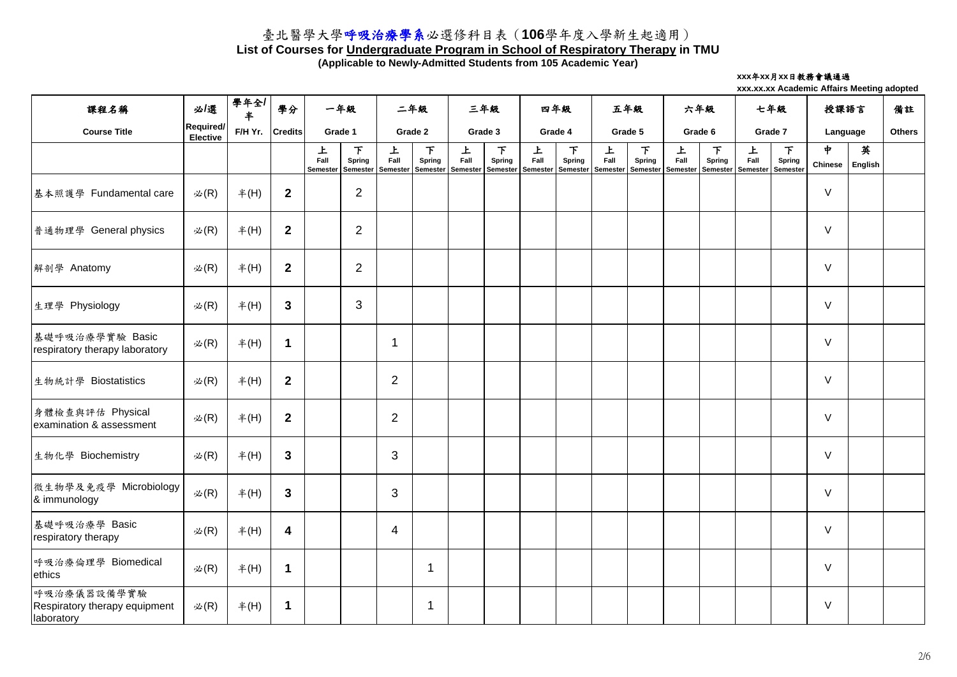### **List of Courses for Undergraduate Program in School of Respiratory Therapy in TMU**

**(Applicable to Newly-Admitted Students from 105 Academic Year)**

#### **xxx**年**xx**月**xx**日教務會議通過

| 課程名稱                                                       | 必攫                           | 學年全/<br>$\ddagger$ | 學分               |                              | 一年級                                   | 二年級                   |                    | 三年級       |                    | 四年級       |                                                                                                  | 五年級       |                    | 六年級       |                                           | 七年級       |                                           | 授課語言                            |              | 備註            |
|------------------------------------------------------------|------------------------------|--------------------|------------------|------------------------------|---------------------------------------|-----------------------|--------------------|-----------|--------------------|-----------|--------------------------------------------------------------------------------------------------|-----------|--------------------|-----------|-------------------------------------------|-----------|-------------------------------------------|---------------------------------|--------------|---------------|
| <b>Course Title</b>                                        | Required/<br><b>Elective</b> | F/H Yr.            | <b>Credits</b>   |                              | Grade 1                               |                       | Grade 2            |           | Grade 3            |           | Grade 4                                                                                          |           | Grade 5            | Grade 6   |                                           | Grade 7   |                                           | Language                        |              | <b>Others</b> |
|                                                            |                              |                    |                  | 上<br>Fall<br><b>Semester</b> | 下<br><b>Spring</b><br><b>Semester</b> | 上<br>Fall<br>Semester | 下<br><b>Spring</b> | 上<br>Fall | 下<br><b>Spring</b> | 上<br>Fall | 下<br><b>Spring</b><br>Semester   Semester   Semester   Semester   Semester   Semester   Semester | 上<br>Fall | 下<br><b>Spring</b> | 上<br>Fall | 下<br><b>Spring</b><br>Semester   Semester | 上<br>Fall | F<br><b>Spring</b><br>Semester   Semester | $\frac{1}{2}$<br><b>Chinese</b> | 英<br>English |               |
| 基本照護學 Fundamental care                                     | $\mathcal{L}(R)$             | #(H)               | $\boldsymbol{2}$ |                              | $\overline{2}$                        |                       |                    |           |                    |           |                                                                                                  |           |                    |           |                                           |           |                                           | $\vee$                          |              |               |
| 普通物理學 General physics                                      | 必 $(R)$                      | #(H)               | $\boldsymbol{2}$ |                              | $\overline{2}$                        |                       |                    |           |                    |           |                                                                                                  |           |                    |           |                                           |           |                                           | $\vee$                          |              |               |
| 解剖學 Anatomy                                                | 必 $(R)$                      | #(H)               | $\boldsymbol{2}$ |                              | $\overline{2}$                        |                       |                    |           |                    |           |                                                                                                  |           |                    |           |                                           |           |                                           | $\vee$                          |              |               |
| 生理學 Physiology                                             | 必 $(R)$                      | #(H)               | $\mathbf{3}$     |                              | 3                                     |                       |                    |           |                    |           |                                                                                                  |           |                    |           |                                           |           |                                           | $\vee$                          |              |               |
| 基礎呼吸治療學實驗 Basic<br>respiratory therapy laboratory          | $\mathcal{L}(R)$             | #(H)               | 1                |                              |                                       |                       |                    |           |                    |           |                                                                                                  |           |                    |           |                                           |           |                                           | $\vee$                          |              |               |
| 生物統計學 Biostatistics                                        | 必 $(R)$                      | #(H)               | $\boldsymbol{2}$ |                              |                                       | $\overline{2}$        |                    |           |                    |           |                                                                                                  |           |                    |           |                                           |           |                                           | $\vee$                          |              |               |
| 身體檢查與評估 Physical<br>examination & assessment               | $\mathcal{L}(R)$             | #(H)               | $\boldsymbol{2}$ |                              |                                       | $\overline{2}$        |                    |           |                    |           |                                                                                                  |           |                    |           |                                           |           |                                           | $\vee$                          |              |               |
| 生物化學 Biochemistry                                          | 必 $(R)$                      | #(H)               | $\mathbf{3}$     |                              |                                       | 3                     |                    |           |                    |           |                                                                                                  |           |                    |           |                                           |           |                                           | $\vee$                          |              |               |
| 微生物學及免疫學 Microbiology<br>& immunology                      | $\mathcal{Z}(R)$             | #(H)               | $\mathbf{3}$     |                              |                                       | 3                     |                    |           |                    |           |                                                                                                  |           |                    |           |                                           |           |                                           | $\vee$                          |              |               |
| 基礎呼吸治療學 Basic<br>respiratory therapy                       | 必 $(R)$                      | #(H)               | 4                |                              |                                       | $\overline{4}$        |                    |           |                    |           |                                                                                                  |           |                    |           |                                           |           |                                           | $\vee$                          |              |               |
| 呼吸治療倫理學 Biomedical<br>ethics                               | 必 $(R)$                      | #(H)               | $\mathbf 1$      |                              |                                       |                       |                    |           |                    |           |                                                                                                  |           |                    |           |                                           |           |                                           | $\vee$                          |              |               |
| 呼吸治療儀器設備學實驗<br>Respiratory therapy equipment<br>laboratory | $\mathcal{L}(R)$             | #(H)               | $\mathbf 1$      |                              |                                       |                       |                    |           |                    |           |                                                                                                  |           |                    |           |                                           |           |                                           | $\vee$                          |              |               |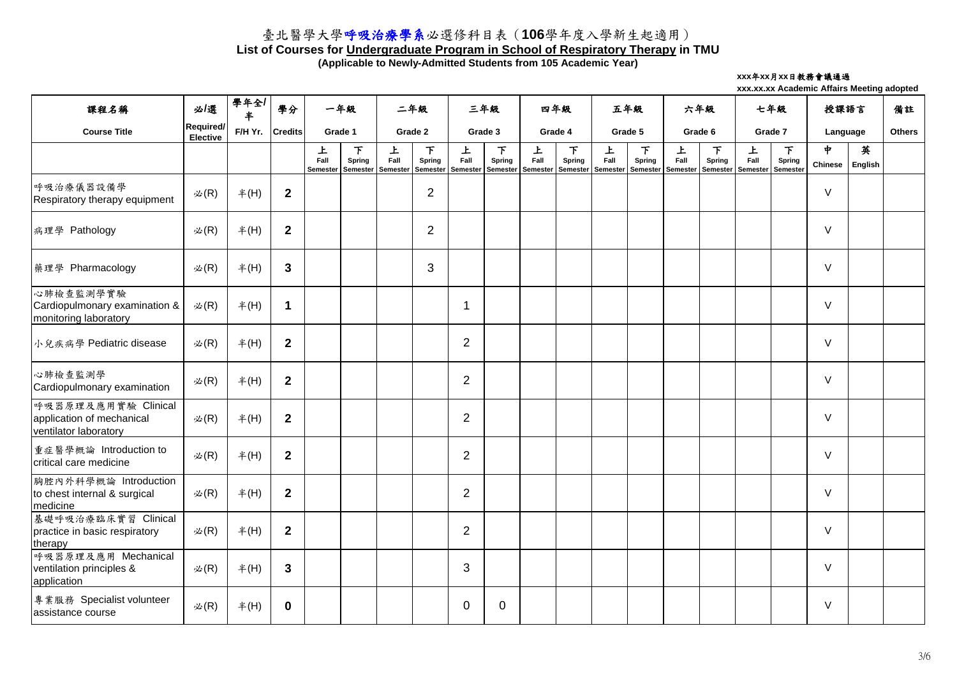### **List of Courses for Undergraduate Program in School of Respiratory Therapy in TMU**

**(Applicable to Newly-Admitted Students from 105 Academic Year)**

#### **xxx**年**xx**月**xx**日教務會議通過

| 課程名稱                                                                      | 必/選                                 | 學年全/<br>半 | 學分               |           | 一年級                                       | 二年級                   |                                | 三年級                   |                                       | 四年級                   |                                | 五年級                          |                                       | 六年級                          |                                       | 七年級                          |                              | 授課語言                |              | 備註            |
|---------------------------------------------------------------------------|-------------------------------------|-----------|------------------|-----------|-------------------------------------------|-----------------------|--------------------------------|-----------------------|---------------------------------------|-----------------------|--------------------------------|------------------------------|---------------------------------------|------------------------------|---------------------------------------|------------------------------|------------------------------|---------------------|--------------|---------------|
| <b>Course Title</b>                                                       | <b>Required/</b><br><b>Elective</b> | F/H Yr.   | <b>Credits</b>   |           | Grade 1                                   |                       | Grade 2                        |                       | Grade 3                               |                       | Grade 4                        |                              | Grade 5                               |                              | Grade 6                               | Grade 7                      |                              | Language            |              | <b>Others</b> |
|                                                                           |                                     |           |                  | 上<br>Fall | 下<br><b>Spring</b><br>Semester   Semester | 上<br>Fall<br>Semester | 下<br><b>Spring</b><br>Semester | 上<br>Fall<br>Semester | 下<br><b>Spring</b><br><b>Semester</b> | 上<br>Fall<br>Semester | 下<br><b>Spring</b><br>Semester | 上<br>Fall<br><b>Semester</b> | 下<br><b>Spring</b><br><b>Semester</b> | 上<br>Fall<br><b>Semester</b> | 下<br><b>Spring</b><br><b>Semester</b> | 上<br>Fall<br><b>Semester</b> | $\top$<br>Spring<br>Semester | ቀ<br><b>Chinese</b> | 英<br>English |               |
| 呼吸治療儀器設備學<br>Respiratory therapy equipment                                | $\mathcal{B}(R)$                    | #(H)      | $\boldsymbol{2}$ |           |                                           |                       | $\overline{2}$                 |                       |                                       |                       |                                |                              |                                       |                              |                                       |                              |                              | $\vee$              |              |               |
| 病理學 Pathology                                                             | $\mathcal{B}(R)$                    | #(H)      | $\boldsymbol{2}$ |           |                                           |                       | $\overline{2}$                 |                       |                                       |                       |                                |                              |                                       |                              |                                       |                              |                              | $\vee$              |              |               |
| 藥理學 Pharmacology                                                          | $\mathcal{B}(R)$                    | #(H)      | $\mathbf{3}$     |           |                                           |                       | 3                              |                       |                                       |                       |                                |                              |                                       |                              |                                       |                              |                              | $\vee$              |              |               |
| 心肺檢查監測學實驗<br>Cardiopulmonary examination &<br>monitoring laboratory       | $\mathcal{B}(R)$                    | #(H)      | 1                |           |                                           |                       |                                |                       |                                       |                       |                                |                              |                                       |                              |                                       |                              |                              | $\vee$              |              |               |
| 小兒疾病學 Pediatric disease                                                   | $\mathcal{B}(R)$                    | #(H)      | $\overline{2}$   |           |                                           |                       |                                | $\overline{2}$        |                                       |                       |                                |                              |                                       |                              |                                       |                              |                              | $\vee$              |              |               |
| 心肺檢查監測學<br>Cardiopulmonary examination                                    | $\mathcal{L}(R)$                    | #(H)      | $\mathbf{2}$     |           |                                           |                       |                                | $\overline{2}$        |                                       |                       |                                |                              |                                       |                              |                                       |                              |                              | $\vee$              |              |               |
| 呼吸器原理及應用實驗 Clinical<br>application of mechanical<br>ventilator laboratory | $\mathcal{B}(R)$                    | #(H)      | $\mathbf{2}$     |           |                                           |                       |                                | $\overline{2}$        |                                       |                       |                                |                              |                                       |                              |                                       |                              |                              | $\vee$              |              |               |
| 重症醫學概論 Introduction to<br>critical care medicine                          | $\mathcal{B}(R)$                    | #(H)      | $\mathbf{2}$     |           |                                           |                       |                                | 2                     |                                       |                       |                                |                              |                                       |                              |                                       |                              |                              | $\vee$              |              |               |
| 胸腔內外科學概論 Introduction<br>to chest internal & surgical<br>medicine         | 必 $(R)$                             | #(H)      | $\overline{2}$   |           |                                           |                       |                                | $\overline{2}$        |                                       |                       |                                |                              |                                       |                              |                                       |                              |                              | $\vee$              |              |               |
| 基礎呼吸治療臨床實習 Clinical<br>practice in basic respiratory<br>therapy           | 必 $(R)$                             | #(H)      | $\boldsymbol{2}$ |           |                                           |                       |                                | $\overline{2}$        |                                       |                       |                                |                              |                                       |                              |                                       |                              |                              | $\vee$              |              |               |
| 呼吸器原理及應用 Mechanical<br>ventilation principles &<br>application            | 必 $(R)$                             | #(H)      | $\mathbf{3}$     |           |                                           |                       |                                | 3                     |                                       |                       |                                |                              |                                       |                              |                                       |                              |                              | $\vee$              |              |               |
| 專業服務 Specialist volunteer<br>assistance course                            | 必 $(R)$                             | #(H)      | $\mathbf 0$      |           |                                           |                       |                                | $\overline{0}$        | $\overline{0}$                        |                       |                                |                              |                                       |                              |                                       |                              |                              | $\vee$              |              |               |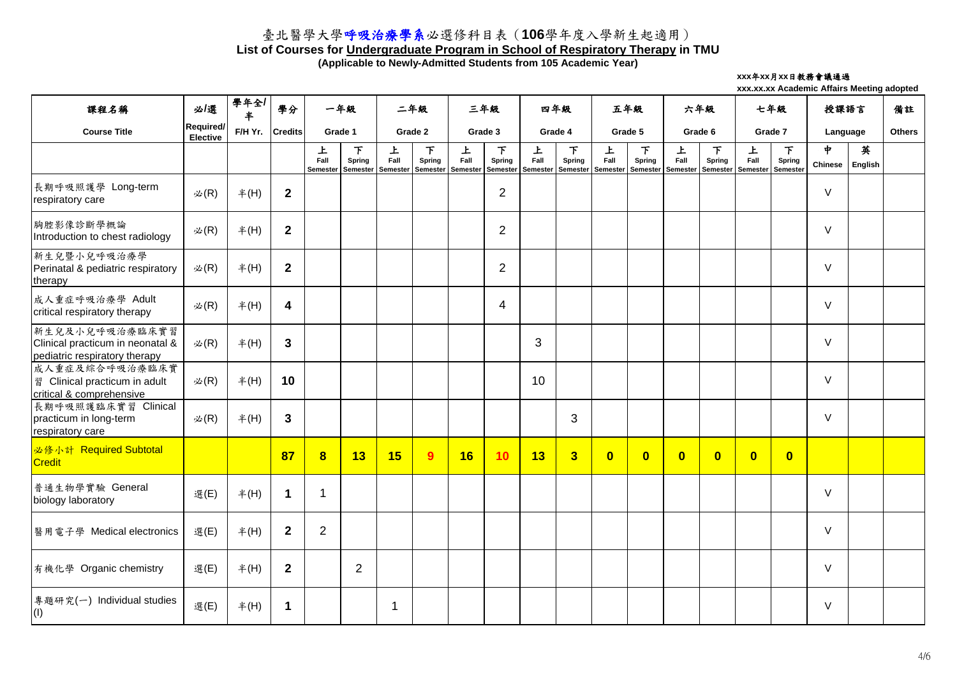### **List of Courses for Undergraduate Program in School of Respiratory Therapy in TMU**

**(Applicable to Newly-Admitted Students from 105 Academic Year)**

#### **xxx**年**xx**月**xx**日教務會議通過

| 課程名稱                                                                                | 必/選                                 | 學年全/<br>半 | 學分                      |                       | 一年級                                   | 二年級                   |                                  | 三年級                          |                                | 四年級                          |                                | 五年級                          |                                       | 六年級                          |                         | 七年級                          |                                            | 授課語言                |              | 備註            |
|-------------------------------------------------------------------------------------|-------------------------------------|-----------|-------------------------|-----------------------|---------------------------------------|-----------------------|----------------------------------|------------------------------|--------------------------------|------------------------------|--------------------------------|------------------------------|---------------------------------------|------------------------------|-------------------------|------------------------------|--------------------------------------------|---------------------|--------------|---------------|
| <b>Course Title</b>                                                                 | <b>Required/</b><br><b>Elective</b> | F/H Yr.   | <b>Credits</b>          |                       | Grade 1                               |                       | Grade 2                          |                              | Grade 3                        |                              | Grade 4                        |                              | Grade 5                               |                              | Grade 6                 |                              | Grade 7                                    | Language            |              | <b>Others</b> |
|                                                                                     |                                     |           |                         | 上<br>Fall<br>Semester | 下<br><b>Spring</b><br><b>Semester</b> | 上<br>Fall<br>Semester | 下<br><b>Spring</b><br>l Semester | 上<br>Fall<br><b>Semester</b> | 下<br>Spring<br><b>Semester</b> | 上<br>Fall<br><b>Semester</b> | 下<br>Spring<br><b>Semester</b> | 上<br>Fall<br><b>Semester</b> | 下<br><b>Spring</b><br><b>Semester</b> | 上<br>Fall<br><b>Semester</b> | 下<br>Spring<br>Semester | 上<br>Fall<br><b>Semester</b> | $\top$<br><b>Spring</b><br><b>Semester</b> | ቀ<br><b>Chinese</b> | 英<br>English |               |
| 長期呼吸照護學 Long-term<br>respiratory care                                               | $\mathcal{Z}(R)$                    | #(H)      | $\mathbf{2}$            |                       |                                       |                       |                                  |                              | $\overline{2}$                 |                              |                                |                              |                                       |                              |                         |                              |                                            | $\vee$              |              |               |
| 胸腔影像診斷學概論<br>Introduction to chest radiology                                        | $\mathcal{L}(R)$                    | #(H)      | $\mathbf{2}$            |                       |                                       |                       |                                  |                              | $\overline{2}$                 |                              |                                |                              |                                       |                              |                         |                              |                                            | $\vee$              |              |               |
| 新生兒暨小兒呼吸治療學<br>Perinatal & pediatric respiratory<br>therapy                         | $\mathcal{L}(R)$                    | #(H)      | $\mathbf{2}$            |                       |                                       |                       |                                  |                              | $\overline{2}$                 |                              |                                |                              |                                       |                              |                         |                              |                                            | $\vee$              |              |               |
| 成人重症呼吸治療學 Adult<br>critical respiratory therapy                                     | $\mathcal{L}(R)$                    | #(H)      | $\overline{\mathbf{4}}$ |                       |                                       |                       |                                  |                              | $\overline{4}$                 |                              |                                |                              |                                       |                              |                         |                              |                                            | $\vee$              |              |               |
| 新生兒及小兒呼吸治療臨床實習<br>Clinical practicum in neonatal &<br>pediatric respiratory therapy | 必 $(R)$                             | #(H)      | $\mathbf{3}$            |                       |                                       |                       |                                  |                              |                                | 3                            |                                |                              |                                       |                              |                         |                              |                                            | $\vee$              |              |               |
| 成人重症及綜合呼吸治療臨床實<br>图 Clinical practicum in adult<br>critical & comprehensive         | 必 $(R)$                             | #(H)      | 10                      |                       |                                       |                       |                                  |                              |                                | 10                           |                                |                              |                                       |                              |                         |                              |                                            | $\vee$              |              |               |
| 長期呼吸照護臨床實習 Clinical<br>practicum in long-term<br>respiratory care                   | 必 $(R)$                             | #(H)      | $\mathbf{3}$            |                       |                                       |                       |                                  |                              |                                |                              | 3                              |                              |                                       |                              |                         |                              |                                            | $\vee$              |              |               |
| 必修小計 Required Subtotal<br><b>Credit</b>                                             |                                     |           | 87                      | $\bf{8}$              | 13                                    | 15                    | 9                                | 16                           | 10                             | 13                           | $\overline{\mathbf{3}}$        | $\overline{\mathbf{0}}$      | $\overline{\mathbf{0}}$               | $\overline{\mathbf{0}}$      | $\overline{\mathbf{0}}$ | $\overline{\mathbf{0}}$      | $\overline{\mathbf{0}}$                    |                     |              |               |
| 普通生物學實驗 General<br>biology laboratory                                               | 選(E)                                | #(H)      | $\blacktriangleleft$    |                       |                                       |                       |                                  |                              |                                |                              |                                |                              |                                       |                              |                         |                              |                                            | $\vee$              |              |               |
| 醫用電子學 Medical electronics                                                           | 選(E)                                | #(H)      | $\mathbf{2}$            | $\overline{2}$        |                                       |                       |                                  |                              |                                |                              |                                |                              |                                       |                              |                         |                              |                                            | $\vee$              |              |               |
| 有機化學 Organic chemistry                                                              | 選(E)                                | #(H)      | $\boldsymbol{2}$        |                       | $\overline{2}$                        |                       |                                  |                              |                                |                              |                                |                              |                                       |                              |                         |                              |                                            | $\vee$              |              |               |
| 專題研究(一) Individual studies<br>$\vert$ (I)                                           | 選(E)                                | #(H)      | $\mathbf 1$             |                       |                                       |                       |                                  |                              |                                |                              |                                |                              |                                       |                              |                         |                              |                                            | $\vee$              |              |               |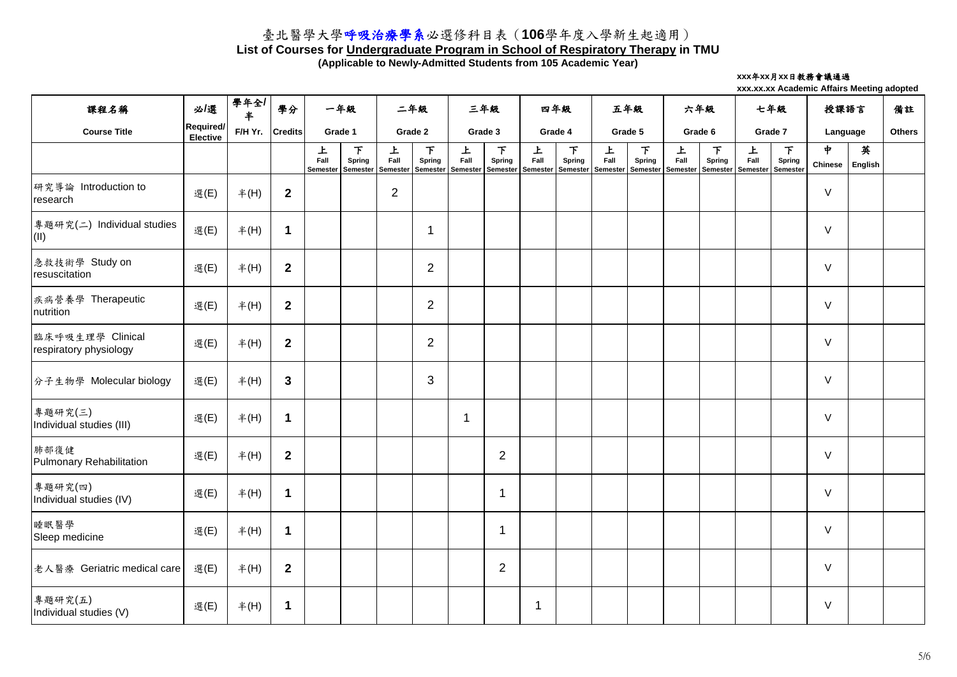### **List of Courses for Undergraduate Program in School of Respiratory Therapy in TMU**

**(Applicable to Newly-Admitted Students from 105 Academic Year)**

#### **xxx**年**xx**月**xx**日教務會議通過

| 課程名稱                                       | 必/選                          | 學年全/<br>$\ddagger$ | 學分               |                       | 一年級                            | 二年級                          |                    | 三年級                      |                                                      | 四年級                   |                                | 五年級                   |                                | 六年級                   |                                | 七年級                          |                                       | 授課語言                            |              | 備註            |
|--------------------------------------------|------------------------------|--------------------|------------------|-----------------------|--------------------------------|------------------------------|--------------------|--------------------------|------------------------------------------------------|-----------------------|--------------------------------|-----------------------|--------------------------------|-----------------------|--------------------------------|------------------------------|---------------------------------------|---------------------------------|--------------|---------------|
| <b>Course Title</b>                        | Required/<br><b>Elective</b> | F/H Yr.            | <b>Credits</b>   |                       | Grade 1                        |                              | Grade 2            |                          | Grade 3                                              |                       | Grade 4                        |                       | Grade 5                        |                       | Grade 6                        |                              | Grade 7                               | Language                        |              | <b>Others</b> |
|                                            |                              |                    |                  | 上<br>Fall<br>Semester | F<br><b>Spring</b><br>Semester | 上<br>Fall<br><b>Semester</b> | 下<br><b>Spring</b> | 上<br>Fall                | F<br><b>Spring</b><br>Semester   Semester   Semester | 上<br>Fall<br>Semester | 下<br><b>Spring</b><br>Semester | 上<br>Fall<br>Semester | 下<br><b>Spring</b><br>Semester | 上<br>Fall<br>Semester | 下<br><b>Spring</b><br>Semester | 上<br>Fall<br><b>Semester</b> | F<br><b>Spring</b><br><b>Semester</b> | $\frac{1}{2}$<br><b>Chinese</b> | 英<br>English |               |
| 研究導論 Introduction to<br>research           | 選(E)                         | #(H)               | $\boldsymbol{2}$ |                       |                                | $\overline{2}$               |                    |                          |                                                      |                       |                                |                       |                                |                       |                                |                              |                                       | $\vee$                          |              |               |
| Individual studies<br>專題研究(二)<br>(II)      | 選(E)                         | #(H)               | 1                |                       |                                |                              |                    |                          |                                                      |                       |                                |                       |                                |                       |                                |                              |                                       | $\vee$                          |              |               |
| 急救技術學 Study on<br>resuscitation            | 選(E)                         | #(H)               | $\boldsymbol{2}$ |                       |                                |                              | $\overline{2}$     |                          |                                                      |                       |                                |                       |                                |                       |                                |                              |                                       | $\vee$                          |              |               |
| 疾病營養學 Therapeutic<br>nutrition             | 選(E)                         | #(H)               | $\boldsymbol{2}$ |                       |                                |                              | $\overline{2}$     |                          |                                                      |                       |                                |                       |                                |                       |                                |                              |                                       | $\vee$                          |              |               |
| 臨床呼吸生理學 Clinical<br>respiratory physiology | 選(E)                         | #(H)               | $\boldsymbol{2}$ |                       |                                |                              | $\overline{2}$     |                          |                                                      |                       |                                |                       |                                |                       |                                |                              |                                       | $\vee$                          |              |               |
| 分子生物學 Molecular biology                    | 選(E)                         | #(H)               | $\mathbf{3}$     |                       |                                |                              | 3                  |                          |                                                      |                       |                                |                       |                                |                       |                                |                              |                                       | $\vee$                          |              |               |
| 專題研究(三)<br>Individual studies (III)        | 選(E)                         | #(H)               | 1                |                       |                                |                              |                    | $\overline{\mathcal{L}}$ |                                                      |                       |                                |                       |                                |                       |                                |                              |                                       | $\vee$                          |              |               |
| 肺部復健<br>Pulmonary Rehabilitation           | 選(E)                         | #(H)               | $\overline{2}$   |                       |                                |                              |                    |                          | $\overline{2}$                                       |                       |                                |                       |                                |                       |                                |                              |                                       | $\vee$                          |              |               |
| 專題研究(四)<br>Individual studies (IV)         | 選(E)                         | #(H)               | $\mathbf 1$      |                       |                                |                              |                    |                          |                                                      |                       |                                |                       |                                |                       |                                |                              |                                       | $\vee$                          |              |               |
| 睡眠醫學<br>Sleep medicine                     | 選(E)                         | #(H)               | $\mathbf 1$      |                       |                                |                              |                    |                          | -1                                                   |                       |                                |                       |                                |                       |                                |                              |                                       | $\vee$                          |              |               |
| 老人醫療 Geriatric medical care                | 選(E)                         | #(H)               | $\boldsymbol{2}$ |                       |                                |                              |                    |                          | $\overline{2}$                                       |                       |                                |                       |                                |                       |                                |                              |                                       | $\vee$                          |              |               |
| 專題研究(五)<br>Individual studies (V)          | 選(E)                         | $#$ (H)            | 1                |                       |                                |                              |                    |                          |                                                      |                       |                                |                       |                                |                       |                                |                              |                                       | $\vee$                          |              |               |